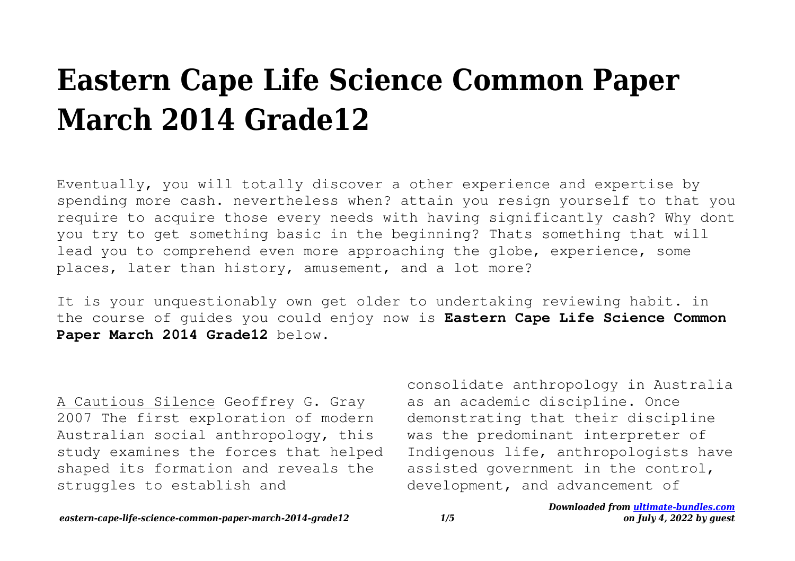## **Eastern Cape Life Science Common Paper March 2014 Grade12**

Eventually, you will totally discover a other experience and expertise by spending more cash. nevertheless when? attain you resign yourself to that you require to acquire those every needs with having significantly cash? Why dont you try to get something basic in the beginning? Thats something that will lead you to comprehend even more approaching the globe, experience, some places, later than history, amusement, and a lot more?

It is your unquestionably own get older to undertaking reviewing habit. in the course of guides you could enjoy now is **Eastern Cape Life Science Common** Paper March 2014 Grade12 below.

A Cautious Silence Geoffrey G. Gray 2007 The first exploration of modern Australian social anthropology, this study examines the forces that helped shaped its formation and reveals the struggles to establish and

consolidate anthropology in Australia as an academic discipline. Once demonstrating that their discipline was the predominant interpreter of Indigenous life, anthropologists have assisted government in the control, development, and advancement of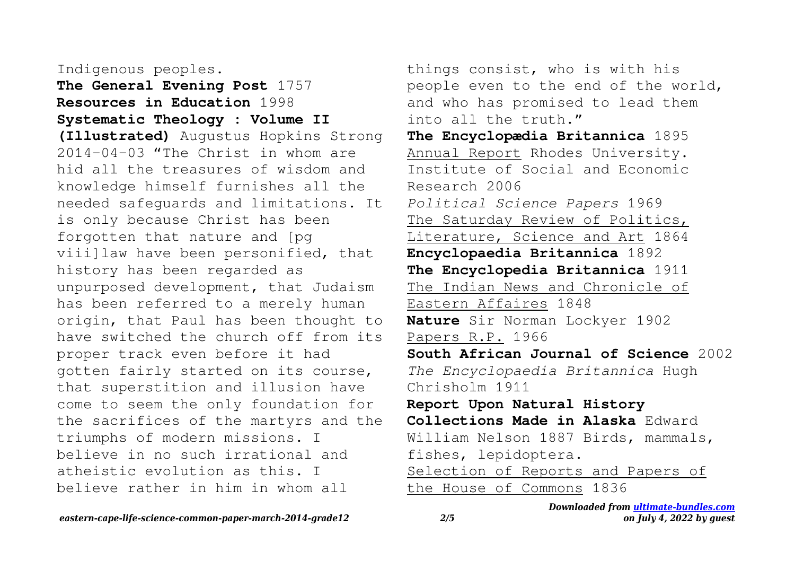## Indigenous peoples.

**The General Evening Post** 1757 **Resources in Education** 1998 **Systematic Theology : Volume II (Illustrated)** Augustus Hopkins Strong 2014-04-03 "The Christ in whom are hid all the treasures of wisdom and knowledge himself furnishes all the needed safeguards and limitations. It is only because Christ has been forgotten that nature and [pg viii]law have been personified, that history has been regarded as unpurposed development, that Judaism has been referred to a merely human origin, that Paul has been thought to have switched the church off from its proper track even before it had gotten fairly started on its course, that superstition and illusion have come to seem the only foundation for the sacrifices of the martyrs and the triumphs of modern missions. I believe in no such irrational and atheistic evolution as this. I believe rather in him in whom all

things consist, who is with his people even to the end of the world, and who has promised to lead them into all the truth." **The Encyclopædia Britannica** 1895 Annual Report Rhodes University. Institute of Social and Economic Research 2006 *Political Science Papers* 1969 The Saturday Review of Politics, Literature, Science and Art 1864 **Encyclopaedia Britannica** 1892 **The Encyclopedia Britannica** 1911 The Indian News and Chronicle of Eastern Affaires 1848 **Nature** Sir Norman Lockyer 1902 Papers R.P. 1966 **South African Journal of Science** 2002 *The Encyclopaedia Britannica* Hugh Chrisholm 1911 **Report Upon Natural History Collections Made in Alaska** Edward William Nelson 1887 Birds, mammals, fishes, lepidoptera. Selection of Reports and Papers of the House of Commons 1836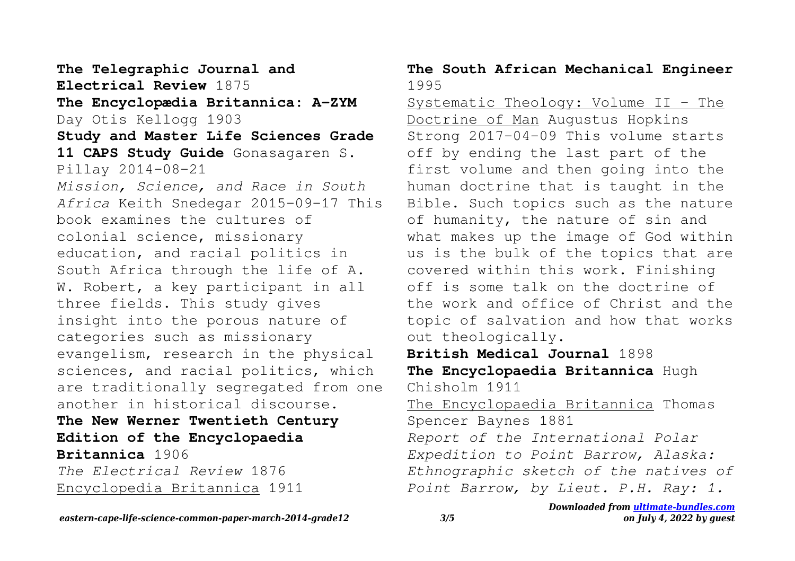**The Telegraphic Journal and Electrical Review** 1875 **The Encyclopædia Britannica: A-ZYM** Day Otis Kellogg 1903 **Study and Master Life Sciences Grade 11 CAPS Study Guide** Gonasagaren S. Pillay 2014-08-21 *Mission, Science, and Race in South Africa* Keith Snedegar 2015-09-17 This book examines the cultures of colonial science, missionary education, and racial politics in South Africa through the life of A. W. Robert, a key participant in all three fields. This study gives insight into the porous nature of categories such as missionary evangelism, research in the physical sciences, and racial politics, which are traditionally segregated from one another in historical discourse. **The New Werner Twentieth Century Edition of the Encyclopaedia Britannica** 1906 *The Electrical Review* 1876 Encyclopedia Britannica 1911

## **The South African Mechanical Engineer** 1995

Systematic Theology: Volume II - The Doctrine of Man Augustus Hopkins Strong 2017-04-09 This volume starts off by ending the last part of the first volume and then going into the human doctrine that is taught in the Bible. Such topics such as the nature of humanity, the nature of sin and what makes up the image of God within us is the bulk of the topics that are covered within this work. Finishing off is some talk on the doctrine of the work and office of Christ and the topic of salvation and how that works out theologically. **British Medical Journal** 1898 **The Encyclopaedia Britannica** Hugh

Chisholm 1911

The Encyclopaedia Britannica Thomas Spencer Baynes 1881 *Report of the International Polar Expedition to Point Barrow, Alaska: Ethnographic sketch of the natives of Point Barrow, by Lieut. P.H. Ray: 1.*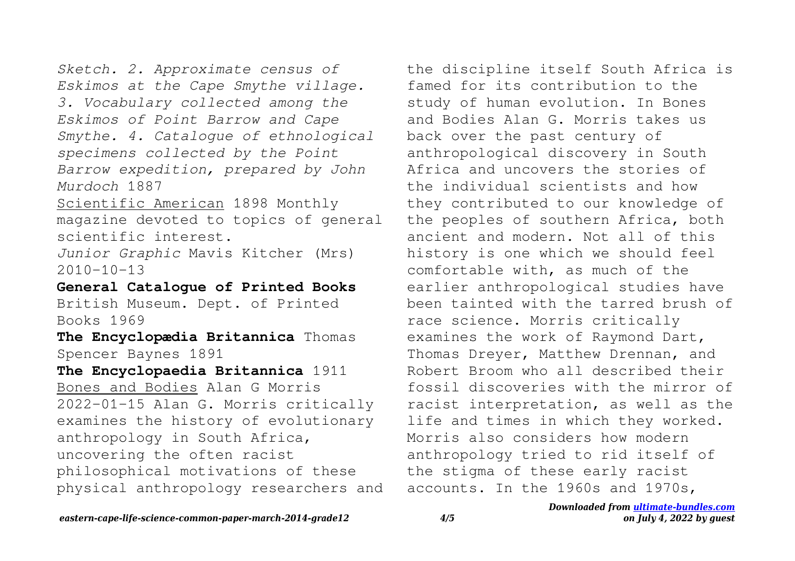*Sketch. 2. Approximate census of Eskimos at the Cape Smythe village. 3. Vocabulary collected among the Eskimos of Point Barrow and Cape Smythe. 4. Catalogue of ethnological specimens collected by the Point Barrow expedition, prepared by John Murdoch* 1887

Scientific American 1898 Monthly magazine devoted to topics of general scientific interest.

*Junior Graphic* Mavis Kitcher (Mrs)  $2010 - 10 - 13$ 

**General Catalogue of Printed Books**

British Museum. Dept. of Printed Books 1969

**The Encyclopædia Britannica** Thomas Spencer Baynes 1891

**The Encyclopaedia Britannica** 1911 Bones and Bodies Alan G Morris 2022-01-15 Alan G. Morris critically examines the history of evolutionary anthropology in South Africa, uncovering the often racist philosophical motivations of these physical anthropology researchers and the discipline itself South Africa is famed for its contribution to the study of human evolution. In Bones and Bodies Alan G. Morris takes us back over the past century of anthropological discovery in South Africa and uncovers the stories of the individual scientists and how they contributed to our knowledge of the peoples of southern Africa, both ancient and modern. Not all of this history is one which we should feel comfortable with, as much of the earlier anthropological studies have been tainted with the tarred brush of race science. Morris critically examines the work of Raymond Dart, Thomas Dreyer, Matthew Drennan, and Robert Broom who all described their fossil discoveries with the mirror of racist interpretation, as well as the life and times in which they worked. Morris also considers how modern anthropology tried to rid itself of the stigma of these early racist accounts. In the 1960s and 1970s,